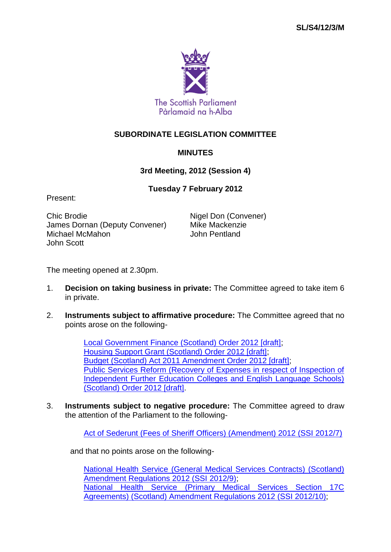

## **SUBORDINATE LEGISLATION COMMITTEE**

## **MINUTES**

**3rd Meeting, 2012 (Session 4)**

## **Tuesday 7 February 2012**

Present:

Chic Brodie **Nigel Don (Convener)** James Dornan (Deputy Convener) Mike Mackenzie Michael McMahon **John Pentland** John Scott

The meeting opened at 2.30pm.

- 1. **Decision on taking business in private:** The Committee agreed to take item 6 in private.
- 2. **Instruments subject to affirmative procedure:** The Committee agreed that no points arose on the following-

[Local Government Finance \(Scotland\) Order 2012 \[draft\];](http://www.legislation.gov.uk/sdsi/2012/9780111015933/contents) [Housing Support Grant \(Scotland\) Order 2012 \[draft\];](http://www.legislation.gov.uk/sdsi/2012/9780111016008/contents) [Budget \(Scotland\) Act 2011 Amendment Order 2012 \[draft\];](http://www.legislation.gov.uk/sdsi/2012/9780111016022/contents) [Public Services Reform \(Recovery of Expenses in respect of Inspection of](http://www.legislation.gov.uk/sdsi/2012/9780111016015/contents) [Independent Further Education Colleges and English Language Schools\)](http://www.legislation.gov.uk/sdsi/2012/9780111016015/contents)  [\(Scotland\) Order 2012 \[draft\].](http://www.legislation.gov.uk/sdsi/2012/9780111016015/contents)

3. **Instruments subject to negative procedure:** The Committee agreed to draw the attention of the Parliament to the following-

[Act of Sederunt \(Fees of Sheriff Officers\) \(Amendment\) 2012 \(SSI](http://www.legislation.gov.uk/ssi/2012/7/contents/made) 2012/7)

and that no points arose on the following-

[National Health Service \(General Medical Services Contracts\) \(Scotland\)](http://www.legislation.gov.uk/ssi/2012/9/contents/made)  [Amendment Regulations 2012 \(SSI](http://www.legislation.gov.uk/ssi/2012/9/contents/made) 2012/9); [National Health Service \(Primary Medical Services Section 17C](http://www.legislation.gov.uk/ssi/2012/10/contents/made)  [Agreements\) \(Scotland\) Amendment Regulations 2012 \(SSI](http://www.legislation.gov.uk/ssi/2012/10/contents/made) 2012/10);